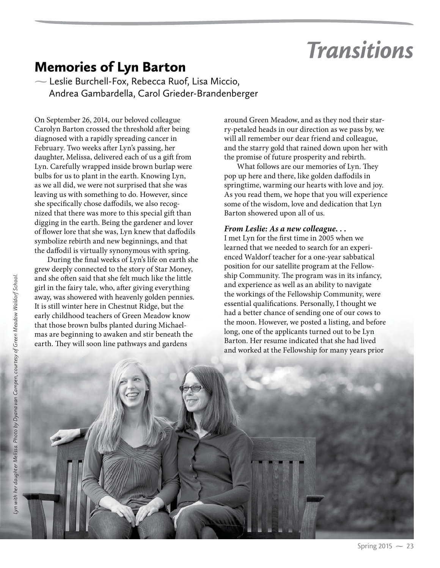# *Transitions*

## Memories of Lyn Barton

**-**Leslie Burchell-Fox, Rebecca Ruof, Lisa Miccio, Andrea Gambardella, Carol Grieder-Brandenberger

On September 26, 2014, our beloved colleague Carolyn Barton crossed the threshold after being diagnosed with a rapidly spreading cancer in February. Two weeks after Lyn's passing, her daughter, Melissa, delivered each of us a gift from Lyn. Carefully wrapped inside brown burlap were bulbs for us to plant in the earth. Knowing Lyn, as we all did, we were not surprised that she was leaving us with something to do. However, since she specifically chose daffodils, we also recognized that there was more to this special gift than digging in the earth. Being the gardener and lover of flower lore that she was, Lyn knew that daffodils symbolize rebirth and new beginnings, and that the daffodil is virtually synonymous with spring.

During the final weeks of Lyn's life on earth she grew deeply connected to the story of Star Money, and she often said that she felt much like the little girl in the fairy tale, who, after giving everything away, was showered with heavenly golden pennies. It is still winter here in Chestnut Ridge, but the early childhood teachers of Green Meadow know that those brown bulbs planted during Michaelmas are beginning to awaken and stir beneath the earth. They will soon line pathways and gardens

around Green Meadow, and as they nod their starry-petaled heads in our direction as we pass by, we will all remember our dear friend and colleague, and the starry gold that rained down upon her with the promise of future prosperity and rebirth.

What follows are our memories of Lyn. They pop up here and there, like golden daffodils in springtime, warming our hearts with love and joy. As you read them, we hope that you will experience some of the wisdom, love and dedication that Lyn Barton showered upon all of us.

#### *From Leslie: As a new colleague. . .*

I met Lyn for the first time in 2005 when we learned that we needed to search for an experienced Waldorf teacher for a one-year sabbatical position for our satellite program at the Fellowship Community. The program was in its infancy, and experience as well as an ability to navigate the workings of the Fellowship Community, were essential qualifications. Personally, I thought we had a better chance of sending one of our cows to the moon. However, we posted a listing, and before long, one of the applicants turned out to be Lyn Barton. Her resume indicated that she had lived and worked at the Fellowship for many years prior

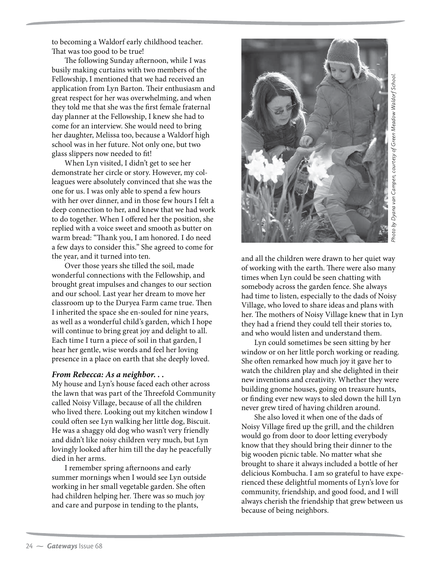to becoming a Waldorf early childhood teacher. That was too good to be true!

The following Sunday afternoon, while I was busily making curtains with two members of the Fellowship, I mentioned that we had received an application from Lyn Barton. Their enthusiasm and great respect for her was overwhelming, and when they told me that she was the first female fraternal day planner at the Fellowship, I knew she had to come for an interview. She would need to bring her daughter, Melissa too, because a Waldorf high school was in her future. Not only one, but two glass slippers now needed to fit!

When Lyn visited, I didn't get to see her demonstrate her circle or story. However, my colleagues were absolutely convinced that she was the one for us. I was only able to spend a few hours with her over dinner, and in those few hours I felt a deep connection to her, and knew that we had work to do together. When I offered her the position, she replied with a voice sweet and smooth as butter on warm bread: "Thank you, I am honored. I do need a few days to consider this." She agreed to come for the year, and it turned into ten.

Over those years she tilled the soil, made wonderful connections with the Fellowship, and brought great impulses and changes to our section and our school. Last year her dream to move her classroom up to the Duryea Farm came true. Then I inherited the space she en-souled for nine years, as well as a wonderful child's garden, which I hope will continue to bring great joy and delight to all. Each time I turn a piece of soil in that garden, I hear her gentle, wise words and feel her loving presence in a place on earth that she deeply loved.

#### *From Rebecca: As a neighbor. . .*

My house and Lyn's house faced each other across the lawn that was part of the Threefold Community called Noisy Village, because of all the children who lived there. Looking out my kitchen window I could often see Lyn walking her little dog, Biscuit. He was a shaggy old dog who wasn't very friendly and didn't like noisy children very much, but Lyn lovingly looked after him till the day he peacefully died in her arms.

I remember spring afternoons and early summer mornings when I would see Lyn outside working in her small vegetable garden. She often had children helping her. There was so much joy and care and purpose in tending to the plants,



and all the children were drawn to her quiet way of working with the earth. There were also many times when Lyn could be seen chatting with somebody across the garden fence. She always had time to listen, especially to the dads of Noisy Village, who loved to share ideas and plans with her. The mothers of Noisy Village knew that in Lyn they had a friend they could tell their stories to, and who would listen and understand them.

Lyn could sometimes be seen sitting by her window or on her little porch working or reading. She often remarked how much joy it gave her to watch the children play and she delighted in their new inventions and creativity. Whether they were building gnome houses, going on treasure hunts, or finding ever new ways to sled down the hill Lyn never grew tired of having children around.

She also loved it when one of the dads of Noisy Village fired up the grill, and the children would go from door to door letting everybody know that they should bring their dinner to the big wooden picnic table. No matter what she brought to share it always included a bottle of her delicious Kombucha. I am so grateful to have experienced these delightful moments of Lyn's love for community, friendship, and good food, and I will always cherish the friendship that grew between us because of being neighbors.